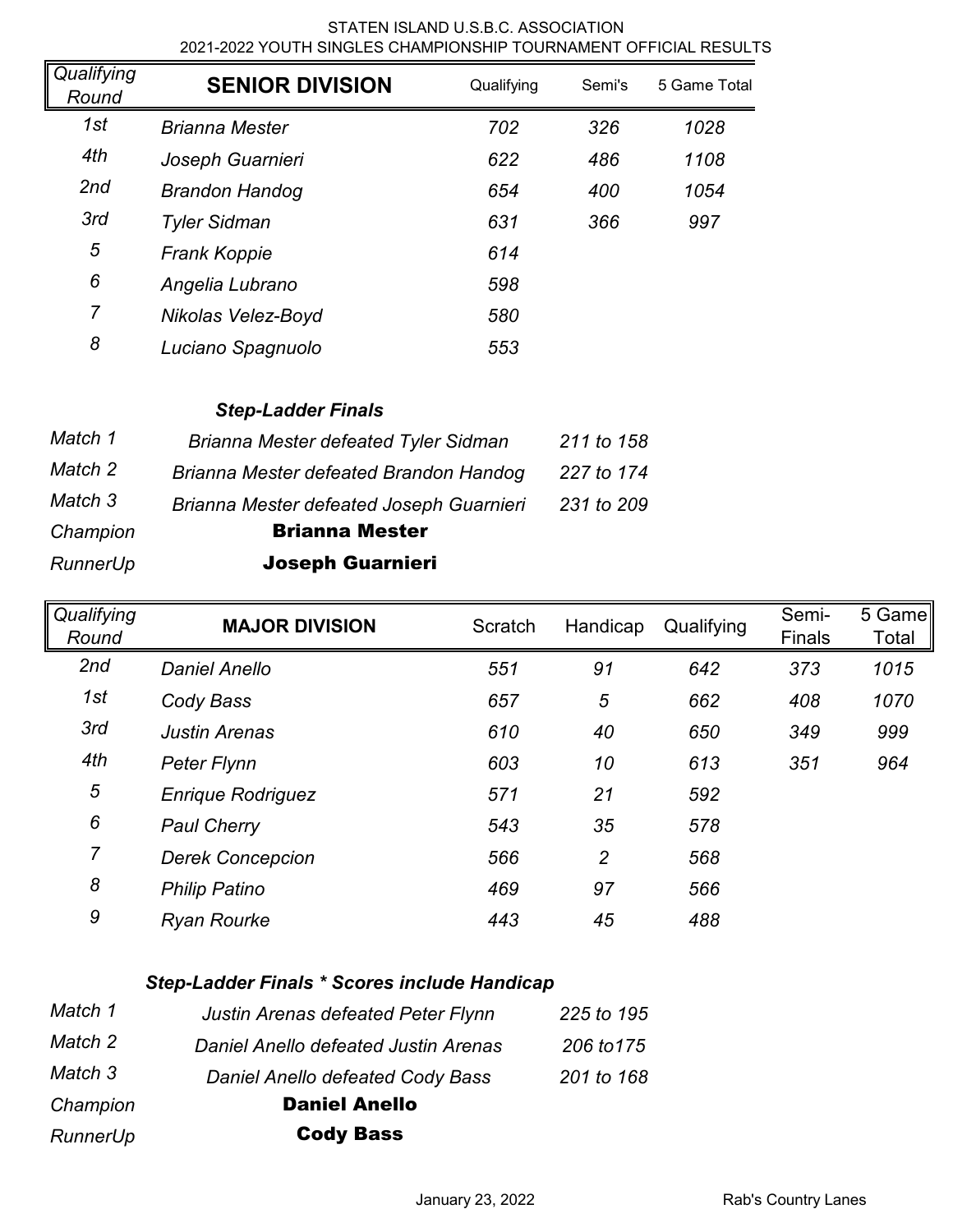## STATEN ISLAND U.S.B.C. ASSOCIATION 2021-2022 YOUTH SINGLES CHAMPIONSHIP TOURNAMENT OFFICIAL RESULTS

| Qualifying<br>Round | <b>SENIOR DIVISION</b> | Qualifying | Semi's | 5 Game Total |
|---------------------|------------------------|------------|--------|--------------|
| 1st                 | <b>Brianna Mester</b>  | 702        | 326    | 1028         |
| 4th                 | Joseph Guarnieri       | 622        | 486    | 1108         |
| 2nd                 | <b>Brandon Handog</b>  | 654        | 400    | 1054         |
| 3rd                 | <b>Tyler Sidman</b>    | 631        | 366    | 997          |
| 5                   | <b>Frank Koppie</b>    | 614        |        |              |
| 6                   | Angelia Lubrano        | 598        |        |              |
| $\overline{7}$      | Nikolas Velez-Boyd     | 580        |        |              |
| 8                   | Luciano Spagnuolo      | 553        |        |              |

## *Step-Ladder Finals*

| Match 1  | Brianna Mester defeated Tyler Sidman     | 211 to 158 |
|----------|------------------------------------------|------------|
| Match 2  | Brianna Mester defeated Brandon Handog   | 227 to 174 |
| Match 3  | Brianna Mester defeated Joseph Guarnieri | 231 to 209 |
| Champion | <b>Brianna Mester</b>                    |            |
| RunnerUp | <b>Joseph Guarnieri</b>                  |            |

*Qualifying Round* **MAJOR DIVISION** Scratch Handicap Qualifying Semi-Finals 5 Game Total *2nd Daniel Anello 551 91 642 373 1015 1st Cody Bass 657 5 662 408 1070 3rd Justin Arenas 610 40 650 349 999 4th Peter Flynn 603 10 613 351 964 5 Enrique Rodriguez 571 21 592 6 Paul Cherry 543 35 578 7 Derek Concepcion 566 2 568 8 Philip Patino 469 97 566 9 Ryan Rourke 443 45 488*

## *Step-Ladder Finals \* Scores include Handicap*

| Match 1  | Justin Arenas defeated Peter Flynn   | 225 to 195 |
|----------|--------------------------------------|------------|
| Match 2  | Daniel Anello defeated Justin Arenas | 206 to 175 |
| Match 3  | Daniel Anello defeated Cody Bass     | 201 to 168 |
| Champion | <b>Daniel Anello</b>                 |            |
| RunnerUp | <b>Cody Bass</b>                     |            |